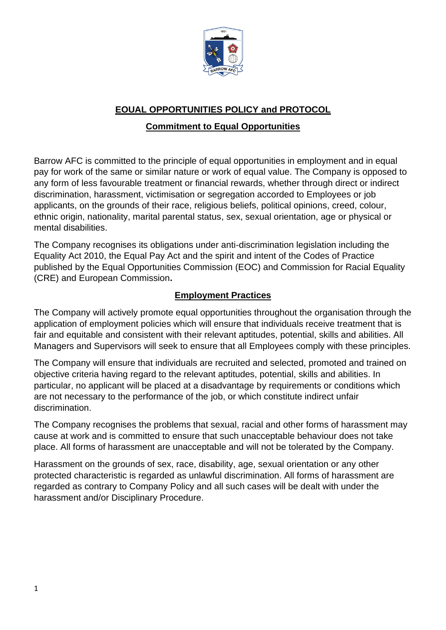

## **EOUAL OPPORTUNITIES POLICY and PROTOCOL**

## **Commitment to Equal Opportunities**

Barrow AFC is committed to the principle of equal opportunities in employment and in equal pay for work of the same or similar nature or work of equal value. The Company is opposed to any form of less favourable treatment or financial rewards, whether through direct or indirect discrimination, harassment, victimisation or segregation accorded to Employees or job applicants, on the grounds of their race, religious beliefs, political opinions, creed, colour, ethnic origin, nationality, marital parental status, sex, sexual orientation, age or physical or mental disabilities.

The Company recognises its obligations under anti-discrimination legislation including the Equality Act 2010, the Equal Pay Act and the spirit and intent of the Codes of Practice published by the Equal Opportunities Commission (EOC) and Commission for Racial Equality (CRE) and European Commission**.** 

# **Employment Practices**

The Company will actively promote equal opportunities throughout the organisation through the application of employment policies which will ensure that individuals receive treatment that is fair and equitable and consistent with their relevant aptitudes, potential, skills and abilities. All Managers and Supervisors will seek to ensure that all Employees comply with these principles.

The Company will ensure that individuals are recruited and selected, promoted and trained on objective criteria having regard to the relevant aptitudes, potential, skills and abilities. In particular, no applicant will be placed at a disadvantage by requirements or conditions which are not necessary to the performance of the job, or which constitute indirect unfair discrimination.

The Company recognises the problems that sexual, racial and other forms of harassment may cause at work and is committed to ensure that such unacceptable behaviour does not take place. All forms of harassment are unacceptable and will not be tolerated by the Company.

Harassment on the grounds of sex, race, disability, age, sexual orientation or any other protected characteristic is regarded as unlawful discrimination. All forms of harassment are regarded as contrary to Company Policy and all such cases will be dealt with under the harassment and/or Disciplinary Procedure.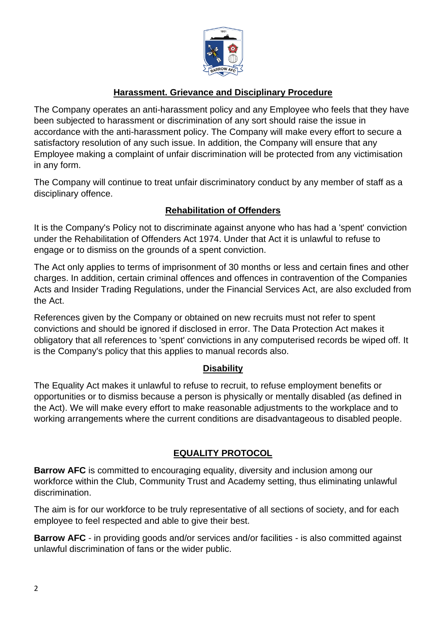

### **Harassment. Grievance and Disciplinary Procedure**

The Company operates an anti-harassment policy and any Employee who feels that they have been subjected to harassment or discrimination of any sort should raise the issue in accordance with the anti-harassment policy. The Company will make every effort to secure a satisfactory resolution of any such issue. In addition, the Company will ensure that any Employee making a complaint of unfair discrimination will be protected from any victimisation in any form.

The Company will continue to treat unfair discriminatory conduct by any member of staff as a disciplinary offence.

### **Rehabilitation of Offenders**

It is the Company's Policy not to discriminate against anyone who has had a 'spent' conviction under the Rehabilitation of Offenders Act 1974. Under that Act it is unlawful to refuse to engage or to dismiss on the grounds of a spent conviction.

The Act only applies to terms of imprisonment of 30 months or less and certain fines and other charges. In addition, certain criminal offences and offences in contravention of the Companies Acts and Insider Trading Regulations, under the Financial Services Act, are also excluded from the Act.

References given by the Company or obtained on new recruits must not refer to spent convictions and should be ignored if disclosed in error. The Data Protection Act makes it obligatory that all references to 'spent' convictions in any computerised records be wiped off. It is the Company's policy that this applies to manual records also.

#### **Disability**

The Equality Act makes it unlawful to refuse to recruit, to refuse employment benefits or opportunities or to dismiss because a person is physically or mentally disabled (as defined in the Act). We will make every effort to make reasonable adjustments to the workplace and to working arrangements where the current conditions are disadvantageous to disabled people.

#### **EQUALITY PROTOCOL**

**Barrow AFC** is committed to encouraging equality, diversity and inclusion among our workforce within the Club, Community Trust and Academy setting, thus eliminating unlawful discrimination.

The aim is for our workforce to be truly representative of all sections of society, and for each employee to feel respected and able to give their best.

**Barrow AFC** - in providing goods and/or services and/or facilities - is also committed against unlawful discrimination of fans or the wider public.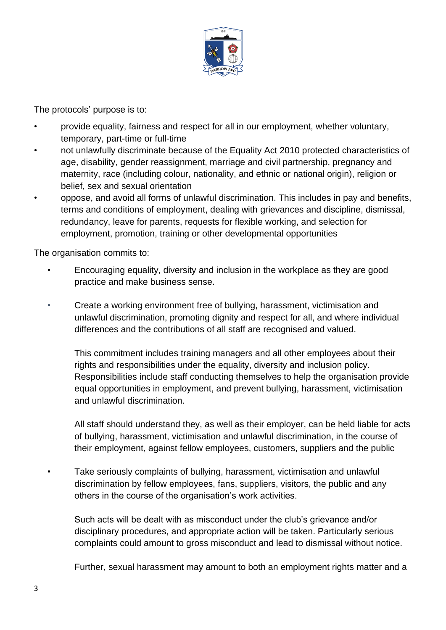

The protocols' purpose is to:

- provide equality, fairness and respect for all in our employment, whether voluntary, temporary, part-time or full-time
- not unlawfully discriminate because of the Equality Act 2010 protected characteristics of age, disability, gender reassignment, marriage and civil partnership, pregnancy and maternity, race (including colour, nationality, and ethnic or national origin), religion or belief, sex and sexual orientation
	- oppose, and avoid all forms of unlawful discrimination. This includes in pay and benefits, terms and conditions of employment, dealing with grievances and discipline, dismissal, redundancy, leave for parents, requests for flexible working, and selection for employment, promotion, training or other developmental opportunities

The organisation commits to:

- Encouraging equality, diversity and inclusion in the workplace as they are good practice and make business sense.
- Create a working environment free of bullying, harassment, victimisation and unlawful discrimination, promoting dignity and respect for all, and where individual differences and the contributions of all staff are recognised and valued.

This commitment includes training managers and all other employees about their rights and responsibilities under the equality, diversity and inclusion policy. Responsibilities include staff conducting themselves to help the organisation provide equal opportunities in employment, and prevent bullying, harassment, victimisation and unlawful discrimination.

All staff should understand they, as well as their employer, can be held liable for acts of bullying, harassment, victimisation and unlawful discrimination, in the course of their employment, against fellow employees, customers, suppliers and the public

• Take seriously complaints of bullying, harassment, victimisation and unlawful discrimination by fellow employees, fans, suppliers, visitors, the public and any others in the course of the organisation's work activities.

Such acts will be dealt with as misconduct under the club's grievance and/or disciplinary procedures, and appropriate action will be taken. Particularly serious complaints could amount to gross misconduct and lead to dismissal without notice.

Further, sexual harassment may amount to both an employment rights matter and a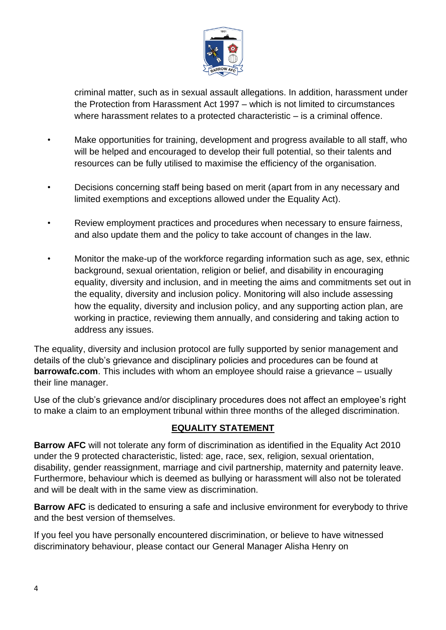

criminal matter, such as in sexual assault allegations. In addition, harassment under the Protection from Harassment Act 1997 – which is not limited to circumstances where harassment relates to a protected characteristic – is a criminal offence.

- Make opportunities for training, development and progress available to all staff, who will be helped and encouraged to develop their full potential, so their talents and resources can be fully utilised to maximise the efficiency of the organisation.
- Decisions concerning staff being based on merit (apart from in any necessary and limited exemptions and exceptions allowed under the Equality Act).
- Review employment practices and procedures when necessary to ensure fairness, and also update them and the policy to take account of changes in the law.
- Monitor the make-up of the workforce regarding information such as age, sex, ethnic background, sexual orientation, religion or belief, and disability in encouraging equality, diversity and inclusion, and in meeting the aims and commitments set out in the equality, diversity and inclusion policy. Monitoring will also include assessing how the equality, diversity and inclusion policy, and any supporting action plan, are working in practice, reviewing them annually, and considering and taking action to address any issues.

The equality, diversity and inclusion protocol are fully supported by senior management and details of the club's grievance and disciplinary policies and procedures can be found at **barrowafc.com**. This includes with whom an employee should raise a grievance – usually their line manager.

Use of the club's grievance and/or disciplinary procedures does not affect an employee's right to make a claim to an employment tribunal within three months of the alleged discrimination.

### **EQUALITY STATEMENT**

**Barrow AFC** will not tolerate any form of discrimination as identified in the Equality Act 2010 under the 9 protected characteristic, listed: age, race, sex, religion, sexual orientation, disability, gender reassignment, marriage and civil partnership, maternity and paternity leave. Furthermore, behaviour which is deemed as bullying or harassment will also not be tolerated and will be dealt with in the same view as discrimination.

**Barrow AFC** is dedicated to ensuring a safe and inclusive environment for everybody to thrive and the best version of themselves.

If you feel you have personally encountered discrimination, or believe to have witnessed discriminatory behaviour, please contact our General Manager Alisha Henry on